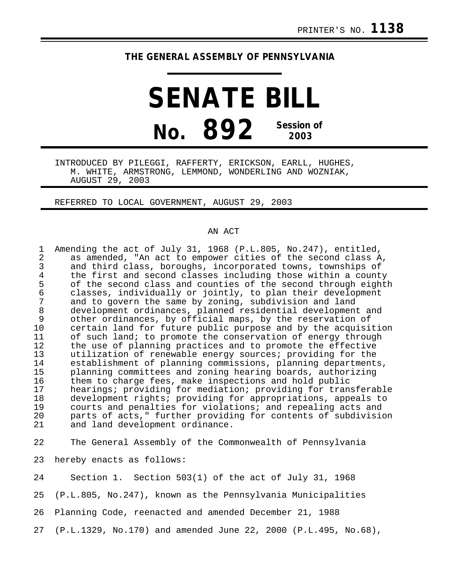## **THE GENERAL ASSEMBLY OF PENNSYLVANIA**

## **SENATE BILL No. 892 Session of 2003**

INTRODUCED BY PILEGGI, RAFFERTY, ERICKSON, EARLL, HUGHES, M. WHITE, ARMSTRONG, LEMMOND, WONDERLING AND WOZNIAK, AUGUST 29, 2003

REFERRED TO LOCAL GOVERNMENT, AUGUST 29, 2003

## AN ACT

| 2  | Amending the act of July 31, 1968 (P.L.805, No.247), entitled,<br>as amended, "An act to empower cities of the second class A, |
|----|--------------------------------------------------------------------------------------------------------------------------------|
| 3  | and third class, boroughs, incorporated towns, townships of                                                                    |
| 4  | the first and second classes including those within a county                                                                   |
| 5  | of the second class and counties of the second through eighth                                                                  |
| 6  | classes, individually or jointly, to plan their development                                                                    |
|    | and to govern the same by zoning, subdivision and land                                                                         |
| 8  | development ordinances, planned residential development and                                                                    |
| 9  | other ordinances, by official maps, by the reservation of                                                                      |
| 10 | certain land for future public purpose and by the acquisition                                                                  |
| 11 | of such land; to promote the conservation of energy through                                                                    |
| 12 | the use of planning practices and to promote the effective                                                                     |
| 13 | utilization of renewable energy sources; providing for the                                                                     |
| 14 | establishment of planning commissions, planning departments,                                                                   |
| 15 | planning committees and zoning hearing boards, authorizing                                                                     |
| 16 | them to charge fees, make inspections and hold public                                                                          |
| 17 | hearings; providing for mediation; providing for transferable                                                                  |
| 18 | development rights; providing for appropriations, appeals to                                                                   |
| 19 | courts and penalties for violations; and repealing acts and                                                                    |
| 20 | parts of acts," further providing for contents of subdivision                                                                  |
| 21 | and land development ordinance.                                                                                                |

22 The General Assembly of the Commonwealth of Pennsylvania

23 hereby enacts as follows:

24 Section 1. Section 503(1) of the act of July 31, 1968 25 (P.L.805, No.247), known as the Pennsylvania Municipalities 26 Planning Code, reenacted and amended December 21, 1988 27 (P.L.1329, No.170) and amended June 22, 2000 (P.L.495, No.68),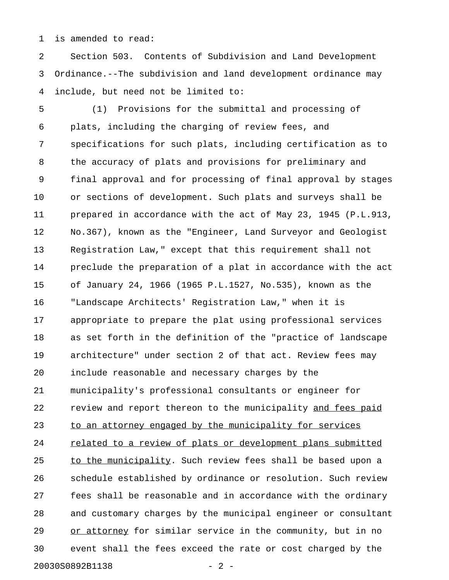1 is amended to read:

2 Section 503. Contents of Subdivision and Land Development 3 Ordinance.--The subdivision and land development ordinance may 4 include, but need not be limited to:

5 (1) Provisions for the submittal and processing of 6 plats, including the charging of review fees, and 7 specifications for such plats, including certification as to 8 the accuracy of plats and provisions for preliminary and 9 final approval and for processing of final approval by stages 10 or sections of development. Such plats and surveys shall be 11 prepared in accordance with the act of May 23, 1945 (P.L.913, 12 No.367), known as the "Engineer, Land Surveyor and Geologist 13 Registration Law," except that this requirement shall not 14 preclude the preparation of a plat in accordance with the act 15 of January 24, 1966 (1965 P.L.1527, No.535), known as the 16 "Landscape Architects' Registration Law," when it is 17 appropriate to prepare the plat using professional services 18 as set forth in the definition of the "practice of landscape 19 architecture" under section 2 of that act. Review fees may 20 include reasonable and necessary charges by the 21 municipality's professional consultants or engineer for 22 review and report thereon to the municipality and fees paid 23 to an attorney engaged by the municipality for services 24 related to a review of plats or development plans submitted 25 to the municipality. Such review fees shall be based upon a 26 schedule established by ordinance or resolution. Such review 27 fees shall be reasonable and in accordance with the ordinary 28 and customary charges by the municipal engineer or consultant 29 or attorney for similar service in the community, but in no 30 event shall the fees exceed the rate or cost charged by the 20030S0892B1138 - 2 -